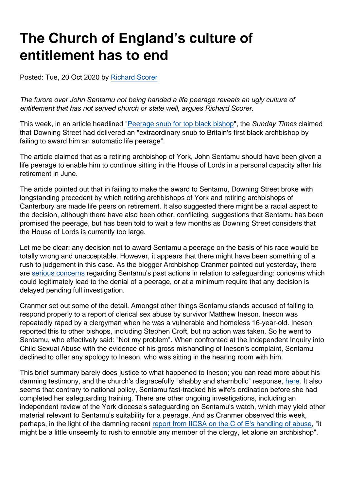# The Church of England's culture of entitlement has to end

Posted: Tue, 20 Oct 2020 by [Richard Scorer](https://www.secularism.org.uk/opinion/authors/859)

The furore over John Sentamu not being handed a life peerage reveals an ugly culture of entitlement that has not served church or state well, argues Richard Scorer.

This week, in an article headlined ["Peerage snub for top black bishop](https://www.thetimes.co.uk/article/peerage-snub-for-top-black-bishop-john-sentamu-hpjd0mgnp)", the Sunday Times claimed that Downing Street had delivered an "extraordinary snub to Britain's first black archbishop by failing to award him an automatic life peerage".

The article claimed that as a retiring archbishop of York, John Sentamu should have been given a life peerage to enable him to continue sitting in the House of Lords in a personal capacity after his retirement in June.

The article pointed out that in failing to make the award to Sentamu, Downing Street broke with longstanding precedent by which retiring archbishops of York and retiring archbishops of Canterbury are made life peers on retirement. It also suggested there might be a racial aspect to the decision, although there have also been other, conflicting, suggestions that Sentamu has been promised the peerage, but has been told to wait a few months as Downing Street considers that the House of Lords is currently too large.

Let me be clear: any decision not to award Sentamu a peerage on the basis of his race would be totally wrong and unacceptable. However, it appears that there might have been something of a rush to judgement in this case. As the blogger Archbishop Cranmer pointed out yesterday, there are [serious concerns](https://archbishopcranmer.com/sentamu-peerage-paused-for-a-reason/) regarding Sentamu's past actions in relation to safeguarding: concerns which could legitimately lead to the denial of a peerage, or at a minimum require that any decision is delayed pending full investigation.

Cranmer set out some of the detail. Amongst other things Sentamu stands accused of failing to respond properly to a report of clerical sex abuse by survivor Matthew Ineson. Ineson was repeatedly raped by a clergyman when he was a vulnerable and homeless 16-year-old. Ineson reported this to other bishops, including Stephen Croft, but no action was taken. So he went to Sentamu, who effectively said: "Not my problem". When confronted at the Independent Inquiry into Child Sexual Abuse with the evidence of his gross mishandling of Ineson's complaint, Sentamu declined to offer any apology to Ineson, who was sitting in the hearing room with him.

This brief summary barely does justice to what happened to Ineson; you can read more about his damning testimony, and the church's disgracefully "shabby and shambolic" response, [here.](https://archbishopcranmer.com/child-abuse-church-england-hypocrisy-inconsistency-cover-up) It also seems that contrary to national policy, Sentamu fast-tracked his wife's ordination before she had completed her safeguarding training. There are other ongoing investigations, including an independent review of the York diocese's safeguarding on Sentamu's watch, which may yield other material relevant to Sentamu's suitability for a peerage. And as Cranmer observed this week, perhaps, in the light of the damning recent [report from IICSA on the C of E's handling of abuse,](https://www.secularism.org.uk/news/2020/10/coe-put-its-reputation-before-child-protection-abuse-inquiry-finds) "it might be a little unseemly to rush to ennoble any member of the clergy, let alone an archbishop".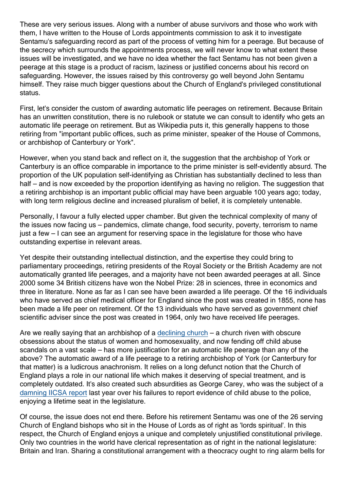These are very serious issues. Along with a number of abuse survivors and those who work with them, I have written to the House of Lords appointments commission to ask it to investigate Sentamu's safeguarding record as part of the process of vetting him for a peerage. But because of the secrecy which surrounds the appointments process, we will never know to what extent these issues will be investigated, and we have no idea whether the fact Sentamu has not been given a peerage at this stage is a product of racism, laziness or justified concerns about his record on safeguarding. However, the issues raised by this controversy go well beyond John Sentamu himself. They raise much bigger questions about the Church of England's privileged constitutional status.

First, let's consider the custom of awarding automatic life peerages on retirement. Because Britain has an unwritten constitution, there is no rulebook or statute we can consult to identify who gets an automatic life peerage on retirement. But as Wikipedia puts it, this generally happens to those retiring from "important public offices, such as prime minister, speaker of the House of Commons, or archbishop of Canterbury or York".

However, when you stand back and reflect on it, the suggestion that the archbishop of York or Canterbury is an office comparable in importance to the prime minister is self-evidently absurd. The proportion of the UK population self-identifying as Christian has substantially declined to less than half – and is now exceeded by the proportion identifying as having no religion. The suggestion that a retiring archbishop is an important public official may have been arguable 100 years ago; today, with long term religious decline and increased pluralism of belief, it is completely untenable.

Personally, I favour a fully elected upper chamber. But given the technical complexity of many of the issues now facing us – pandemics, climate change, food security, poverty, terrorism to name just a few – I can see an argument for reserving space in the legislature for those who have outstanding expertise in relevant areas.

Yet despite their outstanding intellectual distinction, and the expertise they could bring to parliamentary proceedings, retiring presidents of the Royal Society or the British Academy are not automatically granted life peerages, and a majority have not been awarded peerages at all. Since 2000 some 34 British citizens have won the Nobel Prize: 28 in sciences, three in economics and three in literature. None as far as I can see have been awarded a life peerage. Of the 16 individuals who have served as chief medical officer for England since the post was created in 1855, none has been made a life peer on retirement. Of the 13 individuals who have served as government chief scientific adviser since the post was created in 1964, only two have received life peerages.

Are we really saying that an archbishop of a [declining church](https://www.secularism.org.uk/news/2020/10/regular-c-of-e-worshippers-form-less-than-2-percent-of-englands-population) – a church riven with obscure obsessions about the status of women and homosexuality, and now fending off child abuse scandals on a vast scale – has more justification for an automatic life peerage than any of the above? The automatic award of a life peerage to a retiring archbishop of York (or Canterbury for that matter) is a ludicrous anachronism. It relies on a long defunct notion that the Church of England plays a role in our national life which makes it deserving of special treatment, and is completely outdated. It's also created such absurdities as George Carey, who was the subject of a [damning IICSA report](https://www.secularism.org.uk/opinion/2019/05/the-c-of-e-cant-be-allowed-to-keep-shielding-abusers-from-accountability) last year over his failures to report evidence of child abuse to the police, enjoying a lifetime seat in the legislature.

Of course, the issue does not end there. Before his retirement Sentamu was one of the 26 serving Church of England bishops who sit in the House of Lords as of right as 'lords spiritual'. In this respect, the Church of England enjoys a unique and completely unjustified constitutional privilege. Only two countries in the world have clerical representation as of right in the national legislature: Britain and Iran. Sharing a constitutional arrangement with a theocracy ought to ring alarm bells for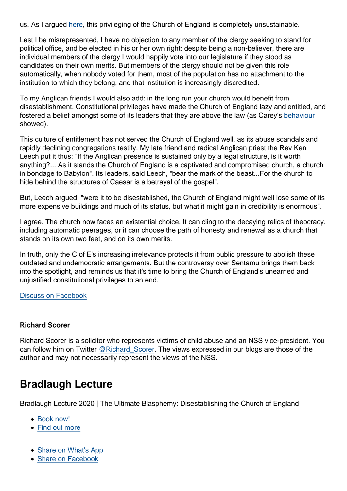us. As I argued [here](https://newhumanist.org.uk/articles/5240/disestablish-and-be-damned), this privileging of the Church of England is completely unsustainable.

Lest I be misrepresented, I have no objection to any member of the clergy seeking to stand for political office, and be elected in his or her own right: despite being a non-believer, there are individual members of the clergy I would happily vote into our legislature if they stood as candidates on their own merits. But members of the clergy should not be given this role automatically, when nobody voted for them, most of the population has no attachment to the institution to which they belong, and that institution is increasingly discredited.

To my Anglican friends I would also add: in the long run your church would benefit from disestablishment. Constitutional privileges have made the Church of England lazy and entitled, and fostered a belief amongst some of its leaders that they are above the law (as Carey's [behaviour](https://www.secularism.org.uk/opinion/2017/06/the-church-cant-be-allowed-to-carry-on-marking-its-own-homework) showed).

This culture of entitlement has not served the Church of England well, as its abuse scandals and rapidly declining congregations testify. My late friend and radical Anglican priest the Rev Ken Leech put it thus: "If the Anglican presence is sustained only by a legal structure, is it worth anything?... As it stands the Church of England is a captivated and compromised church, a church in bondage to Babylon". Its leaders, said Leech, "bear the mark of the beast...For the church to hide behind the structures of Caesar is a betrayal of the gospel".

But, Leech argued, "were it to be disestablished, the Church of England might well lose some of its more expensive buildings and much of its status, but what it might gain in credibility is enormous".

I agree. The church now faces an existential choice. It can cling to the decaying relics of theocracy, including automatic peerages, or it can choose the path of honesty and renewal as a church that stands on its own two feet, and on its own merits.

In truth, only the C of E's increasing irrelevance protects it from public pressure to abolish these outdated and undemocratic arrangements. But the controversy over Sentamu brings them back into the spotlight, and reminds us that it's time to bring the Church of England's unearned and unjustified constitutional privileges to an end.

[Discuss on Facebook](https://www.facebook.com/NationalSecularSociety/posts/3420741137994213?__xts__[0]=68.ARB7RFt05MglHNqNljMuw0AuX2Rg2DNCTjuSkiBsliyL287wsATaIMhc_MRtuLLAdLMZ_35cLFYH7xYMkp6cmXMTijJs53u-9jNbdkvRIeTsq2en1J-CVtcrYTX4Lt5kc88Wtpw3zAtDAIK3DGwqhVd811AZ8yDqkyrU7FEVclU2BUBwNCBfm4cHEUNzg0__GSG61yPSo04G0gHG4Y5XPzoGpj9oDbsZJzGM5nqumfhY05T9UDIvpu0WMdiKVw6BYD31BHc3enTwaqfDeiuACD-PUn9n2vzQ1jz1wK-ufZ1S4L9mgCvuLxGGFbeOScYmoCZLUBcTYAs0fq4Vd_1lo1lohw&__tn__=-R)

#### Richard Scorer

Richard Scorer is a solicitor who represents victims of child abuse and an NSS vice-president. You can follow him on Twitter @Richard Scorer. The views expressed in our blogs are those of the author and may not necessarily represent the views of the NSS.

### Bradlaugh Lecture

Bradlaugh Lecture 2020 | The Ultimate Blasphemy: Disestablishing the Church of England

- [Book now!](https://conwayhall.ticketsolve.com/shows/1173605070?_ga=2.260415688.438624454.1601563447-9071195.1600687417)
- [Find out more](https://www.secularism.org.uk/ultimate-blasphemy.html)
- [Share on What's App](whatsapp://send?text=http://www.secularism.org.uk/opinion/2020/10/the-church-of-englands-culture-of-entitlement-has-to-end?format=pdf)
- [Share on Facebook](https://www.facebook.com/sharer/sharer.php?u=http://www.secularism.org.uk/opinion/2020/10/the-church-of-englands-culture-of-entitlement-has-to-end?format=pdf&t=The+Church+of+England’s+culture+of+entitlement+has+to+end)